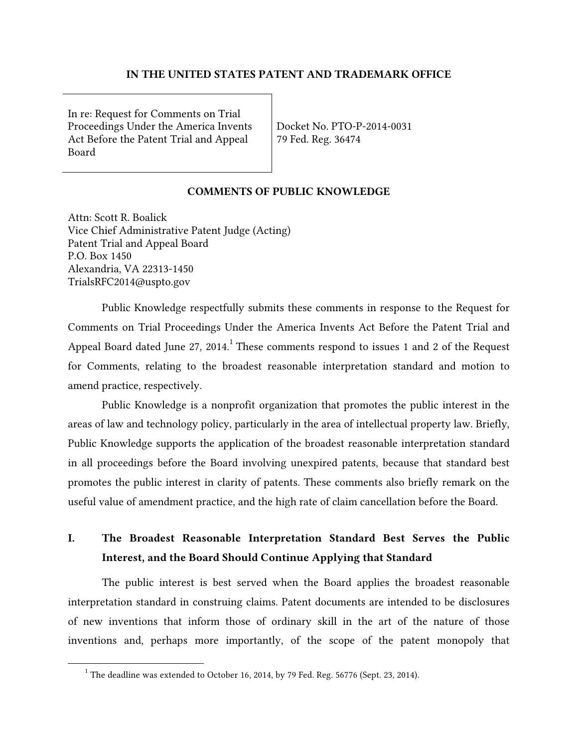#### IN THE UNITED STATES PATENT AND TRADEMARK OFFICE

In re: Request for Comments on Trial Proceedings Under the America Invents | Docket No. PTO-P-2014-0031 Act Before the Patent Trial and Appeal 79 Fed. Reg. 36474 Board

#### COMMENTS OF PUBLIC KNOWLEDGE

Attn: Scott R. Boalick Vice Chief Administrative Patent Judge (Acting) Patent Trial and Appeal Board P.O. Box 1450 Alexandria, VA 22313-1450 TrialsRFC2014@uspto.gov

Public Knowledge respectfully submits these comments in response to the Request for Comments on Trial Proceedings Under the America Invents Act Before the Patent Trial and Appeal Board dated June 27, 2014.<sup>1</sup> These comments respond to issues 1 and 2 of the Request for Comments, relating to the broadest reasonable interpretation standard and motion to amend practice, respectively.

Public Knowledge is a nonprofit organization that promotes the public interest in the areas of law and technology policy, particularly in the area of intellectual property law. Briefly, Public Knowledge supports the application of the broadest reasonable interpretation standard in all proceedings before the Board involving unexpired patents, because that standard best promotes the public interest in clarity of patents. These comments also briefly remark on the useful value of amendment practice, and the high rate of claim cancellation before the Board.

## I. The Broadest Reasonable Interpretation Standard Best Serves the Public Interest, and the Board Should Continue Applying that Standard

The public interest is best served when the Board applies the broadest reasonable interpretation standard in construing claims. Patent documents are intended to be disclosures of new inventions that inform those of ordinary skill in the art of the nature of those inventions and, perhaps more importantly, of the scope of the patent monopoly that

 $1$  The deadline was extended to October 16, 2014, by 79 Fed. Reg. 56776 (Sept. 23, 2014).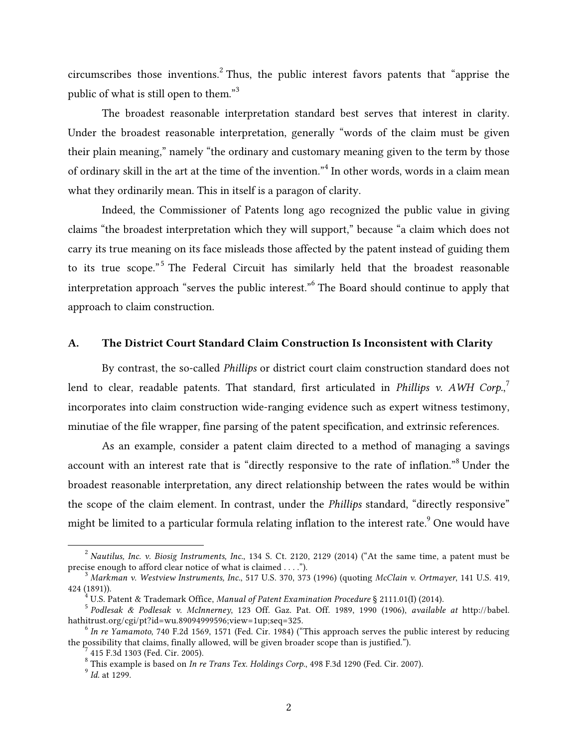circumscribes those inventions.<sup>2</sup> Thus, the public interest favors patents that "apprise the public of what is still open to them."<sup>3</sup>

 The broadest reasonable interpretation standard best serves that interest in clarity. Under the broadest reasonable interpretation, generally "words of the claim must be given their plain meaning," namely "the ordinary and customary meaning given to the term by those of ordinary skill in the art at the time of the invention."<sup>4</sup> In other words, words in a claim mean what they ordinarily mean. This in itself is a paragon of clarity.

Indeed, the Commissioner of Patents long ago recognized the public value in giving claims "the broadest interpretation which they will support," because "a claim which does not carry its true meaning on its face misleads those affected by the patent instead of guiding them to its true scope."<sup>5</sup> The Federal Circuit has similarly held that the broadest reasonable interpretation approach "serves the public interest."6 The Board should continue to apply that approach to claim construction.

### A. The District Court Standard Claim Construction Is Inconsistent with Clarity

 minutiae of the file wrapper, fine parsing of the patent specification, and extrinsic references. By contrast, the so-called *Phillips* or district court claim construction standard does not lend to clear, readable patents. That standard, first articulated in *Phillips v. AWH Corp.*, 7 incorporates into claim construction wide-ranging evidence such as expert witness testimony,

 the scope of the claim element. In contrast, under the *Phillips* standard, "directly responsive" might be limited to a particular formula relating inflation to the interest rate. $^9$  One would have As an example, consider a patent claim directed to a method of managing a savings account with an interest rate that is "directly responsive to the rate of inflation."8 Under the broadest reasonable interpretation, any direct relationship between the rates would be within

precise enough to afford clear notice of what is claimed . . . ."). precise enough to afford clear notice of what is claimed . . . .").<br><sup>3</sup> Markman v. Westview Instruments, Inc., 517 U.S. 370, 373 (1996) (quoting *McClain v. Ortmayer*, 141 U.S. 419, <sup>2</sup>*Nautilus, Inc. v. Biosig Instruments, Inc.*, 134 S. Ct. 2120, 2129 (2014) ("At the same time, a patent must be

<sup>424 (1891)).&</sup>lt;br><sup>4</sup> U.S. Patent & Trademark Office, *Manual of Patent Examination Procedure* § 2111.01(I) (2014).<br><sup>5</sup> Podlesak & Podlesak v. McInnerney, 123 Off. Gaz. Pat. Off. 1989, 1990 (1906), available at http://babel.

U.S. Patent & Trademark Office, Manual of Patent Examination Procedure § 2111.01(I) (2014).

 hathitrust.org/cgi/pt?id=wu.89094999596;view=1up;seq=325. <sup>6</sup>*In re Yamamoto*, 740 F.2d 1569, 1571 (Fed. Cir. 1984) ("This approach serves the public interest by reducing

the possibility that claims, finally allowed, will be given broader scope than is justified."). <sup>7</sup> 415 F.3d 1303 (Fed. Cir. 2005).

<sup>415</sup> F.3d 1303 (Fed. Cir. 2005).

 8 This example is based on *In re Trans Tex. Holdings Corp.*, 498 F.3d 1290 (Fed. Cir. 2007). 9 *Id.* at 1299.

 $^9$  Id. at 1299.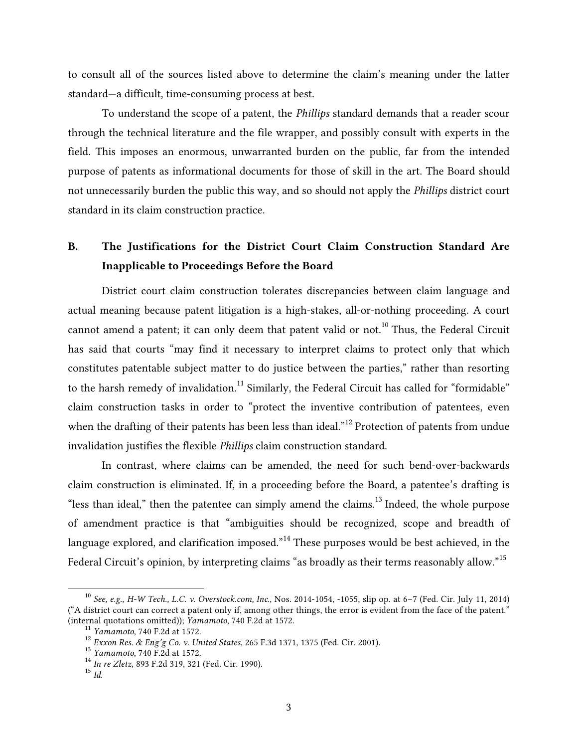to consult all of the sources listed above to determine the claim's meaning under the latter standard—a difficult, time-consuming process at best.

 To understand the scope of a patent, the *Phillips* standard demands that a reader scour field. This imposes an enormous, unwarranted burden on the public, far from the intended through the technical literature and the file wrapper, and possibly consult with experts in the purpose of patents as informational documents for those of skill in the art. The Board should not unnecessarily burden the public this way, and so should not apply the *Phillips* district court standard in its claim construction practice.

# B. The Justifications for the District Court Claim Construction Standard Are Inapplicable to Proceedings Before the Board

 claim construction tasks in order to "protect the inventive contribution of patentees, even District court claim construction tolerates discrepancies between claim language and actual meaning because patent litigation is a high-stakes, all-or-nothing proceeding. A court cannot amend a patent; it can only deem that patent valid or not.<sup>10</sup> Thus, the Federal Circuit has said that courts "may find it necessary to interpret claims to protect only that which constitutes patentable subject matter to do justice between the parties," rather than resorting to the harsh remedy of invalidation.<sup>11</sup> Similarly, the Federal Circuit has called for "formidable" when the drafting of their patents has been less than ideal."<sup>12</sup> Protection of patents from undue invalidation justifies the flexible *Phillips* claim construction standard.

In contrast, where claims can be amended, the need for such bend-over-backwards claim construction is eliminated. If, in a proceeding before the Board, a patentee's drafting is "less than ideal," then the patentee can simply amend the claims.<sup>13</sup> Indeed, the whole purpose of amendment practice is that "ambiguities should be recognized, scope and breadth of language explored, and clarification imposed."<sup>14</sup> These purposes would be best achieved, in the Federal Circuit's opinion, by interpreting claims "as broadly as their terms reasonably allow."<sup>15</sup>

 ("A district court can correct a patent only if, among other things, the error is evident from the face of the patent." (internal quotations omitted)); Yamamoto, 740 F.2d at 1572. <sup>10</sup>*See, e.g.*, *H-W Tech., L.C. v. Overstock.com, Inc.*, Nos. 2014-1054, -1055, slip op. at 6–7 (Fed. Cir. July 11, 2014) (internal quotations omitted)); *Yamamoto*, 740 F.2d at 1572.<br><sup>11</sup> *Yamamoto*, 740 F.2d at 1572.<br><sup>12</sup> *Exxon Res. & Eng'g Co. v. United States*, 265 F.3d 1371, 1375 (Fed. Cir. 2001).<br><sup>13</sup> *Yamamoto*, 740 F.2d at 1572.<br><sup>14</sup>

 $^{13}$  Yamamoto, 740 F.2d at 1572.

<sup>&</sup>lt;sup>14</sup> In re Zletz, 893 F.2d 319, 321 (Fed. Cir. 1990).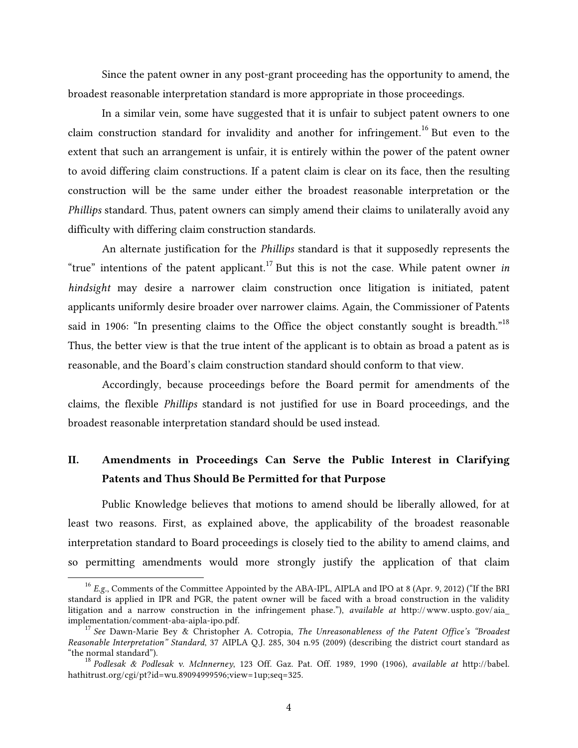Since the patent owner in any post-grant proceeding has the opportunity to amend, the broadest reasonable interpretation standard is more appropriate in those proceedings.

 *Phillips* standard. Thus, patent owners can simply amend their claims to unilaterally avoid any In a similar vein, some have suggested that it is unfair to subject patent owners to one claim construction standard for invalidity and another for infringement.<sup>16</sup> But even to the extent that such an arrangement is unfair, it is entirely within the power of the patent owner to avoid differing claim constructions. If a patent claim is clear on its face, then the resulting construction will be the same under either the broadest reasonable interpretation or the difficulty with differing claim construction standards.

An alternate justification for the *Phillips* standard is that it supposedly represents the "true" intentions of the patent applicant.<sup>17</sup> But this is not the case. While patent owner *in hindsight* may desire a narrower claim construction once litigation is initiated, patent applicants uniformly desire broader over narrower claims. Again, the Commissioner of Patents said in 1906: "In presenting claims to the Office the object constantly sought is breadth."<sup>18</sup> Thus, the better view is that the true intent of the applicant is to obtain as broad a patent as is reasonable, and the Board's claim construction standard should conform to that view.

Accordingly, because proceedings before the Board permit for amendments of the claims, the flexible *Phillips* standard is not justified for use in Board proceedings, and the broadest reasonable interpretation standard should be used instead.

## II. Amendments in Proceedings Can Serve the Public Interest in Clarifying Patents and Thus Should Be Permitted for that Purpose

Public Knowledge believes that motions to amend should be liberally allowed, for at least two reasons. First, as explained above, the applicability of the broadest reasonable interpretation standard to Board proceedings is closely tied to the ability to amend claims, and so permitting amendments would more strongly justify the application of that claim

<sup>&</sup>lt;sup>16</sup> E.g., Comments of the Committee Appointed by the ABA-IPL, AIPLA and IPO at 8 (Apr. 9, 2012) ("If the BRI standard is applied in IPR and PGR, the patent owner will be faced with a broad construction in the validity litigation and a narrow construction in the infringement phase."), *available at* http:// www. uspto. gov/ aia\_

 implementation/comment-aba-aipla-ipo.pdf. <sup>17</sup>*See* Dawn-Marie Bey & Christopher A. Cotropia, *The Unreasonableness of the Patent Office's "Broadest Reasonable Interpretation" Standard*, 37 AIPLA Q.J. 285, 304 n.95 (2009) (describing the district court standard as "the normal standard").  "the normal standard"). <sup>18</sup>*Podlesak & Podlesak v. McInnerney*, 123 Off. Gaz. Pat. Off. 1989, 1990 (1906), *available at* http://babel.

hathitrust.org/cgi/pt?id=wu.89094999596;view=1up;seq=325.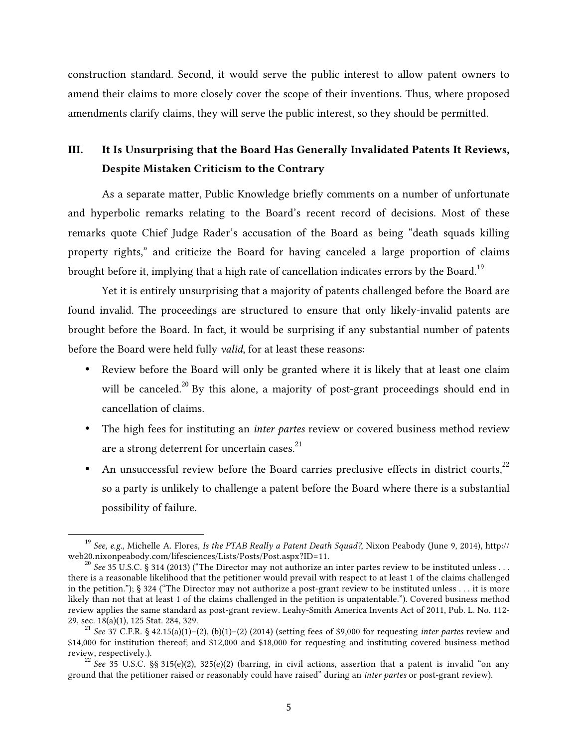construction standard. Second, it would serve the public interest to allow patent owners to amend their claims to more closely cover the scope of their inventions. Thus, where proposed amendments clarify claims, they will serve the public interest, so they should be permitted.

## III. It Is Unsurprising that the Board Has Generally Invalidated Patents It Reviews, Despite Mistaken Criticism to the Contrary

As a separate matter, Public Knowledge briefly comments on a number of unfortunate and hyperbolic remarks relating to the Board's recent record of decisions. Most of these remarks quote Chief Judge Rader's accusation of the Board as being "death squads killing property rights," and criticize the Board for having canceled a large proportion of claims brought before it, implying that a high rate of cancellation indicates errors by the Board.<sup>19</sup>

Yet it is entirely unsurprising that a majority of patents challenged before the Board are found invalid. The proceedings are structured to ensure that only likely-invalid patents are brought before the Board. In fact, it would be surprising if any substantial number of patents before the Board were held fully *valid*, for at least these reasons:

- Review before the Board will only be granted where it is likely that at least one claim will be canceled.<sup>20</sup> By this alone, a majority of post-grant proceedings should end in cancellation of claims.
- The high fees for instituting an *inter partes* review or covered business method review are a strong deterrent for uncertain cases.<sup>21</sup>
- An unsuccessful review before the Board carries preclusive effects in district courts,  $2^2$ so a party is unlikely to challenge a patent before the Board where there is a substantial possibility of failure.

 <sup>19</sup>*See, e.g.*, Michelle A. Flores, *Is the PTAB Really a Patent Death Squad?*, Nixon Peabody (June 9, 2014), http:// web20.nixonpeabody.com/lifesciences/Lists/Posts/Post.aspx?ID=11.<br><sup>20</sup> *See* 35 U.S.C. § 314 (2013) ("The Director may not authorize an inter partes review to be instituted unless . . .

 there is a reasonable likelihood that the petitioner would prevail with respect to at least 1 of the claims challenged in the petition."); § 324 ("The Director may not authorize a post-grant review to be instituted unless . . . it is more likely than not that at least 1 of the claims challenged in the petition is unpatentable."). Covered business method review applies the same standard as post-grant review. Leahy-Smith America Invents Act of 2011, Pub. L. No. 112 29, sec. 18(a)(1), 125 Stat. 284, 329. 29, sec. 18(a)(1), 125 Stat. 284, 329. <sup>21</sup>*See* 37 C.F.R. § 42.15(a)(1)–(2), (b)(1)–(2) (2014) (setting fees of \$9,000 for requesting *inter partes* review and

 \$14,000 for institution thereof; and \$12,000 and \$18,000 for requesting and instituting covered business method review, respectively.).<br><sup>22</sup> *See* 35 U.S.C. §§ 315(e)(2), 325(e)(2) (barring, in civil actions, assertion that a patent is invalid "on any

 ground that the petitioner raised or reasonably could have raised" during an *inter partes* or post-grant review).